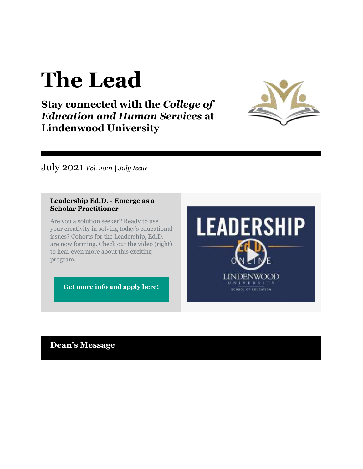# **The Lead**

## **Stay connected with the** *College of Education and Human Services* **at Lindenwood University**



July 2021 *Vol. 2021 | July Issue*

#### **Leadership Ed.D. - Emerge as a Scholar Practitioner**

Are you a solution seeker? Ready to use your creativity in solving today's educational issues? Cohorts for the Leadership, Ed.D. are now forming. Check out the video (right) to hear even more about this exciting program.

**[Get more info and apply here!](https://r20.rs6.net/tn.jsp?f=001arH4g7jRoD_7654abiV40FasmTnR9KkUDxAu8hG4CTJlOIOGstdBbU7PvbV4DqbXeSkWrLD8Z1knX4jt4-QbFea7VzZSqn8N5182esKM_-gkmGS3ItZU6J6B6OH9ihLxzhLobU2psGeeF9_6skragZf4nfTgPVSZF5yI52uEn-qutcSM4Fq7GgsLmjXpsDyjCxK2qwgioB4RiwbGs-1xP_ZERm8Wp4MZdASPy7NAI9b2I9F5CTvnE1CDtAtJuVyeOfZAOY4KZ1hA4wO7P9gVmw==&c=SVByzvMeQS-7IqNpwTYJnMLQIR0O5JfkF4kohfcJu_094lcHKCTFTA==&ch=vX1dYqTF232jTpozswB2MtPM5KnjsQpfFn2dKIp7kB9z2eqAqhNCtQ==)**

**LEADERSHIP** LINDENWOOD UNIVERSIT SCHOOL OF EDUCATION

## **Dean's Message**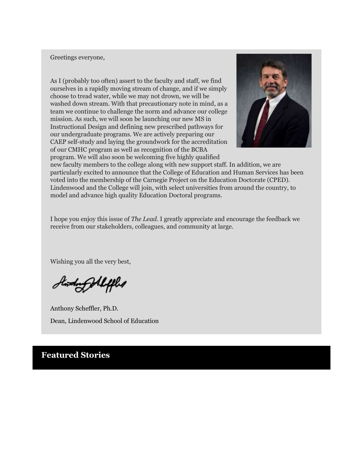#### Greetings everyone,

As I (probably too often) assert to the faculty and staff, we find ourselves in a rapidly moving stream of change, and if we simply choose to tread water, while we may not drown, we will be washed down stream. With that precautionary note in mind, as a team we continue to challenge the norm and advance our college mission. As such, we will soon be launching our new MS in Instructional Design and defining new prescribed pathways for our undergraduate programs. We are actively preparing our CAEP self-study and laying the groundwork for the accreditation of our CMHC program as well as recognition of the BCBA program. We will also soon be welcoming five highly qualified



new faculty members to the college along with new support staff. In addition, we are particularly excited to announce that the College of Education and Human Services has been voted into the membership of the Carnegie Project on the Education Doctorate (CPED). Lindenwood and the College will join, with select universities from around the country, to model and advance high quality Education Doctoral programs.

I hope you enjoy this issue of *The Lead*. I greatly appreciate and encourage the feedback we receive from our stakeholders, colleagues, and community at large.

Wishing you all the very best,

twolverfolkfled

Anthony Scheffler, Ph.D. Dean, Lindenwood School of Education

## **Featured Stories**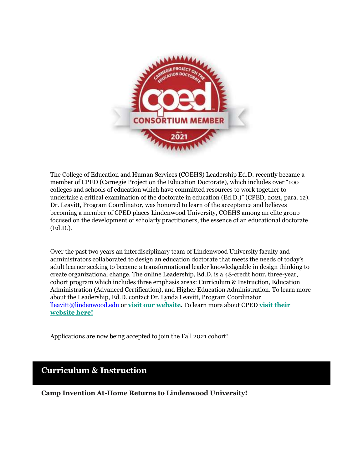

The College of Education and Human Services (COEHS) Leadership Ed.D. recently became a member of CPED (Carnegie Project on the Education Doctorate), which includes over "100 colleges and schools of education which have committed resources to work together to undertake a critical examination of the doctorate in education (Ed.D.)" (CPED, 2021, para. 12). Dr. Leavitt, Program Coordinator, was honored to learn of the acceptance and believes becoming a member of CPED places Lindenwood University, COEHS among an elite group focused on the development of scholarly practitioners, the essence of an educational doctorate (Ed.D.).

Over the past two years an interdisciplinary team of Lindenwood University faculty and administrators collaborated to design an education doctorate that meets the needs of today's adult learner seeking to become a transformational leader knowledgeable in design thinking to create organizational change. The online Leadership, Ed.D. is a 48-credit hour, three-year, cohort program which includes three emphasis areas: Curriculum & Instruction, Education Administration (Advanced Certification), and Higher Education Administration. To learn more about the Leadership, Ed.D. contact Dr. Lynda Leavitt, Program Coordinator [lleavitt@lindenwood.edu](mailto:lleavitt@lindenwood.edu) or **[visit our website](https://r20.rs6.net/tn.jsp?f=001arH4g7jRoD_7654abiV40FasmTnR9KkUDxAu8hG4CTJlOIOGstdBbV7jRd_J9P4PWlVa9QNnIlHHLzKTfQNNr9bFnoj9SQ1kUDNV3haaY0wg_51djTEQhW2ZR8ZFTdZ6NaW97zgj6j4yq8BQmA-jTraE7zHkRpW8kjh_r8V7bDT714vRplE7sihxDNmQtcStBhcFfZzgBlnfzch13Rg5iV2o88BXrHlNvZOw1CXgWXzLOyEulTJvw_2P90tNohyq&c=SVByzvMeQS-7IqNpwTYJnMLQIR0O5JfkF4kohfcJu_094lcHKCTFTA==&ch=vX1dYqTF232jTpozswB2MtPM5KnjsQpfFn2dKIp7kB9z2eqAqhNCtQ==)**. To learn more about CPED **[visit their](https://r20.rs6.net/tn.jsp?f=001arH4g7jRoD_7654abiV40FasmTnR9KkUDxAu8hG4CTJlOIOGstdBbV7jRd_J9P4PooobIJJq7Sos15szxLLHIqs6i3Q7UEMWPjOHZcyqKDRAKkjAYGczotzaXfBPLcN_1Q-c4KadnPZWT_r-xHo2zZgEIZdiaL-l&c=SVByzvMeQS-7IqNpwTYJnMLQIR0O5JfkF4kohfcJu_094lcHKCTFTA==&ch=vX1dYqTF232jTpozswB2MtPM5KnjsQpfFn2dKIp7kB9z2eqAqhNCtQ==)  [website here!](https://r20.rs6.net/tn.jsp?f=001arH4g7jRoD_7654abiV40FasmTnR9KkUDxAu8hG4CTJlOIOGstdBbV7jRd_J9P4PooobIJJq7Sos15szxLLHIqs6i3Q7UEMWPjOHZcyqKDRAKkjAYGczotzaXfBPLcN_1Q-c4KadnPZWT_r-xHo2zZgEIZdiaL-l&c=SVByzvMeQS-7IqNpwTYJnMLQIR0O5JfkF4kohfcJu_094lcHKCTFTA==&ch=vX1dYqTF232jTpozswB2MtPM5KnjsQpfFn2dKIp7kB9z2eqAqhNCtQ==)**

Applications are now being accepted to join the Fall 2021 cohort!

## **Curriculum & Instruction**

**Camp Invention At-Home Returns to Lindenwood University!**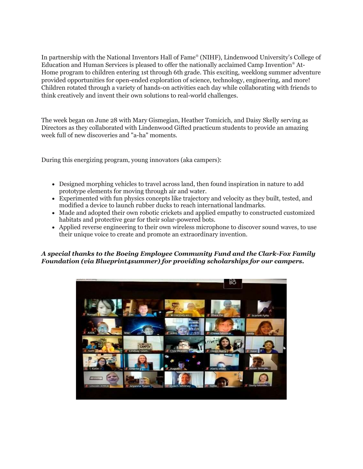In partnership with the National Inventors Hall of Fame® (NIHF), Lindenwood University's College of Education and Human Services is pleased to offer the nationally acclaimed Camp Invention® At-Home program to children entering 1st through 6th grade. This exciting, weeklong summer adventure provided opportunities for open-ended exploration of science, technology, engineering, and more! Children rotated through a variety of hands-on activities each day while collaborating with friends to think creatively and invent their own solutions to real-world challenges.

The week began on June 28 with Mary Gismegian, Heather Tomicich, and Daisy Skelly serving as Directors as they collaborated with Lindenwood Gifted practicum students to provide an amazing week full of new discoveries and "a-ha" moments.

During this energizing program, young innovators (aka campers):

- Designed morphing vehicles to travel across land, then found inspiration in nature to add prototype elements for moving through air and water.
- Experimented with fun physics concepts like trajectory and velocity as they built, tested, and modified a device to launch rubber ducks to reach international landmarks.
- Made and adopted their own robotic crickets and applied empathy to constructed customized habitats and protective gear for their solar-powered bots.
- Applied reverse engineering to their own wireless microphone to discover sound waves, to use their unique voice to create and promote an extraordinary invention.

#### *A special thanks to the Boeing Employee Community Fund and the Clark-Fox Family Foundation (via Blueprint4summer) for providing scholarships for our campers.*

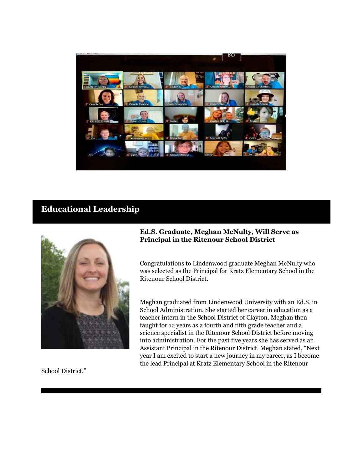

## **Educational Leadership**



#### **Ed.S. Graduate, Meghan McNulty, Will Serve as Principal in the Ritenour School District**

Congratulations to Lindenwood graduate Meghan McNulty who was selected as the Principal for Kratz Elementary School in the Ritenour School District.

Meghan graduated from Lindenwood University with an Ed.S. in School Administration. She started her career in education as a teacher intern in the School District of Clayton. Meghan then taught for 12 years as a fourth and fifth grade teacher and a science specialist in the Ritenour School District before moving into administration. For the past five years she has served as an Assistant Principal in the Ritenour District. Meghan stated, "Next year I am excited to start a new journey in my career, as I become the lead Principal at Kratz Elementary School in the Ritenour

School District."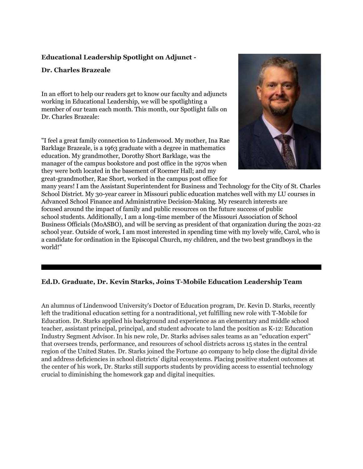#### **Educational Leadership Spotlight on Adjunct -**

#### **Dr. Charles Brazeale**

In an effort to help our readers get to know our faculty and adjuncts working in Educational Leadership, we will be spotlighting a member of our team each month. This month, our Spotlight falls on Dr. Charles Brazeale:

"I feel a great family connection to Lindenwood. My mother, Ina Rae Barklage Brazeale, is a 1963 graduate with a degree in mathematics education. My grandmother, Dorothy Short Barklage, was the manager of the campus bookstore and post office in the 1970s when they were both located in the basement of Roemer Hall; and my great-grandmother, Rae Short, worked in the campus post office for



many years! I am the Assistant Superintendent for Business and Technology for the City of St. Charles School District. My 30-year career in Missouri public education matches well with my LU courses in Advanced School Finance and Administrative Decision-Making. My research interests are focused around the impact of family and public resources on the future success of public school students. Additionally, I am a long-time member of the Missouri Association of School Business Officials (MoASBO), and will be serving as president of that organization during the 2021-22 school year. Outside of work, I am most interested in spending time with my lovely wife, Carol, who is a candidate for ordination in the Episcopal Church, my children, and the two best grandboys in the world!"

#### **Ed.D. Graduate, Dr. Kevin Starks, Joins T-Mobile Education Leadership Team**

An alumnus of Lindenwood University's Doctor of Education program, Dr. Kevin D. Starks, recently left the traditional education setting for a nontraditional, yet fulfilling new role with T-Mobile for Education. Dr. Starks applied his background and experience as an elementary and middle school teacher, assistant principal, principal, and student advocate to land the position as K-12: Education Industry Segment Advisor. In his new role, Dr. Starks advises sales teams as an "education expert" that oversees trends, performance, and resources of school districts across 15 states in the central region of the United States. Dr. Starks joined the Fortune 40 company to help close the digital divide and address deficiencies in school districts' digital ecosystems. Placing positive student outcomes at the center of his work, Dr. Starks still supports students by providing access to essential technology crucial to diminishing the homework gap and digital inequities.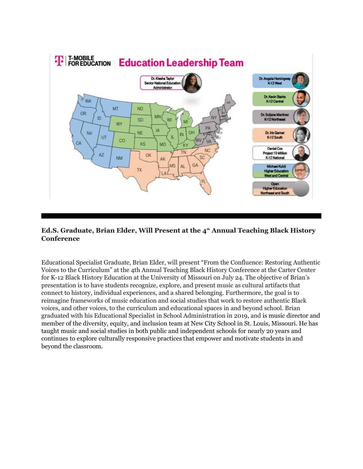

#### **Ed.S. Graduate, Brian Elder, Will Present at the 4th Annual Teaching Black History Conference**

Educational Specialist Graduate, Brian Elder, will present "From the Confluence: Restoring Authentic Voices to the Curriculum" at the 4th Annual Teaching Black History Conference at the Carter Center for K-12 Black History Education at the University of Missouri on July 24. The objective of Brian's presentation is to have students recognize, explore, and present music as cultural artifacts that connect to history, individual experiences, and a shared belonging. Furthermore, the goal is to reimagine frameworks of music education and social studies that work to restore authentic Black voices, and other voices, to the curriculum and educational spaces in and beyond school. Brian graduated with his Educational Specialist in School Administration in 2019, and is music director and member of the diversity, equity, and inclusion team at New City School in St. Louis, Missouri. He has taught music and social studies in both public and independent schools for nearly 20 years and continues to explore culturally responsive practices that empower and motivate students in and beyond the classroom.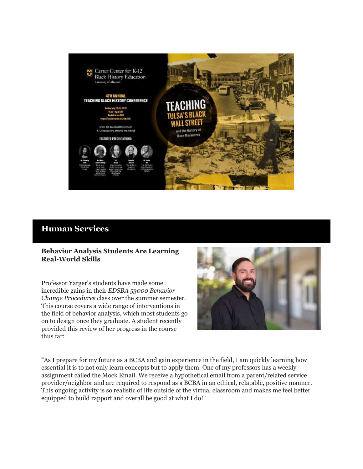

### **Human Services**

#### **Behavior Analysis Students Are Learning Real-World Skills**

Professor Yarger's students have made some incredible gains in their *EDSBA 53000 Behavior Change Procedures* class over the summer semester. This course covers a wide range of interventions in the field of behavior analysis, which most students go on to design once they graduate. A student recently provided this review of her progress in the course thus far:



"As I prepare for my future as a BCBA and gain experience in the field, I am quickly learning how essential it is to not only learn concepts but to apply them. One of my professors has a weekly assignment called the Mock Email. We receive a hypothetical email from a parent/related service provider/neighbor and are required to respond as a BCBA in an ethical, relatable, positive manner. This ongoing activity is so realistic of life outside of the virtual classroom and makes me feel better equipped to build rapport and overall be good at what I do!"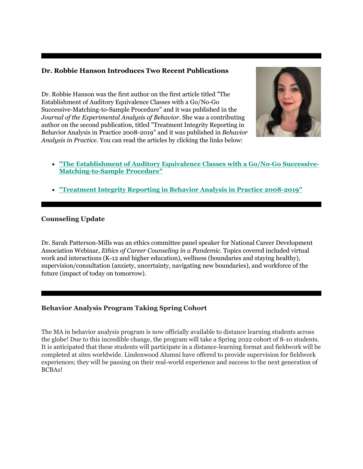#### **Dr. Robbie Hanson Introduces Two Recent Publications**

Dr. Robbie Hanson was the first author on the first article titled "The Establishment of Auditory Equivalence Classes with a Go/No-Go Successive-Matching-to-Sample Procedure" and it was published in the *Journal of the Experimental Analysis of Behavior*. She was a contributing author on the second publication, titled "Treatment Integrity Reporting in Behavior Analysis in Practice 2008-2019" and it was published in *Behavior Analysis in Practice*. You can read the articles by clicking the links below:



- **["The Establishment of Auditory Equivalence Classes with a Go/No-Go Successive-](https://r20.rs6.net/tn.jsp?f=001arH4g7jRoD_7654abiV40FasmTnR9KkUDxAu8hG4CTJlOIOGstdBbV7jRd_J9P4Pni-EtRFGUQCUyuINA-pj6tE7EOt2KJ7Wd_GeisL3eUfQFjQ-WvarkBY4XsQBnlaGTgkb4lcsM-cEAoegrX16lu20d8-eW7Q0J8Qn6NatYXX6MktkkbNzZRX3qe9HJ6aeWO-HO14bHfzG-mQKQifg5eCA5iQGjQsZWXWc8qoKEZA=&c=SVByzvMeQS-7IqNpwTYJnMLQIR0O5JfkF4kohfcJu_094lcHKCTFTA==&ch=vX1dYqTF232jTpozswB2MtPM5KnjsQpfFn2dKIp7kB9z2eqAqhNCtQ==)[Matching-to-Sample Procedure"](https://r20.rs6.net/tn.jsp?f=001arH4g7jRoD_7654abiV40FasmTnR9KkUDxAu8hG4CTJlOIOGstdBbV7jRd_J9P4Pni-EtRFGUQCUyuINA-pj6tE7EOt2KJ7Wd_GeisL3eUfQFjQ-WvarkBY4XsQBnlaGTgkb4lcsM-cEAoegrX16lu20d8-eW7Q0J8Qn6NatYXX6MktkkbNzZRX3qe9HJ6aeWO-HO14bHfzG-mQKQifg5eCA5iQGjQsZWXWc8qoKEZA=&c=SVByzvMeQS-7IqNpwTYJnMLQIR0O5JfkF4kohfcJu_094lcHKCTFTA==&ch=vX1dYqTF232jTpozswB2MtPM5KnjsQpfFn2dKIp7kB9z2eqAqhNCtQ==)**
- **["Treatment Integrity Reporting in Behavior Analysis in Practice 2008-2019"](https://r20.rs6.net/tn.jsp?f=001arH4g7jRoD_7654abiV40FasmTnR9KkUDxAu8hG4CTJlOIOGstdBbV7jRd_J9P4PC5joI3IXVOLI4txkG0pXOUCokJs8pHthpgUpAP777yaz8kEJJj8aLiEDluVHLkdoQ9tQct5psLCz3ZYPT6hpZURRHxG6NGZ-kaglfxSaRidlUkXy-hqEwIeCuwWam34axx6N7HbWy3ee1IuZhaYrl7TnkwxyyHIKaFg7csKQ1I4=&c=SVByzvMeQS-7IqNpwTYJnMLQIR0O5JfkF4kohfcJu_094lcHKCTFTA==&ch=vX1dYqTF232jTpozswB2MtPM5KnjsQpfFn2dKIp7kB9z2eqAqhNCtQ==)**

#### **Counseling Update**

Dr. Sarah Patterson-Mills was an ethics committee panel speaker for National Career Development Association Webinar, *Ethics of Career Counseling in a Pandemic.* Topics covered included virtual work and interactions (K-12 and higher education), wellness (boundaries and staying healthy), supervision/consultation (anxiety, uncertainty, navigating new boundaries), and workforce of the future (impact of today on tomorrow).

#### **Behavior Analysis Program Taking Spring Cohort**

The MA in behavior analysis program is now officially available to distance learning students across the globe! Due to this incredible change, the program will take a Spring 2022 cohort of 8-10 students. It is anticipated that these students will participate in a distance-learning format and fieldwork will be completed at sites worldwide. Lindenwood Alumni have offered to provide supervision for fieldwork experiences; they will be passing on their real-world experience and success to the next generation of BCBAs!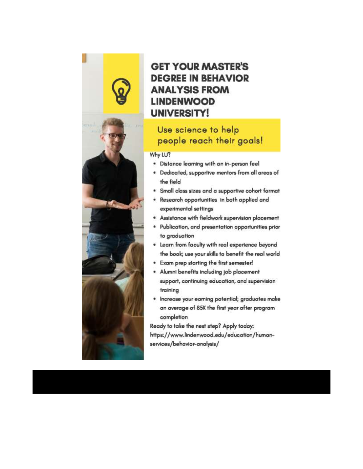

# **GET YOUR MASTER'S DEGREE IN BEHAVIOR ANALYSIS FROM LINDENWOOD UNIVERSITY!**

## Use science to help people reach their goals!

#### Why LU?

- Distance learning with an in-person feel ۰
- Dedicated, supportive mentors from all areas of ۰ the field
- Small class sizes and a supportive cohort format ۰
- ۰ Research opportunities in both applied and experimental settings
- ä Assistance with fieldwork supervision placement
- Publication, and presentation opportunities prior ò to graduation
- . Learn from faculty with real experience beyond the book; use your skills to benefit the real world
- Exam prep starting the first semester! ë
- Alumni benefits including job placement ٠ support, continuing education, and supervision training
- ò Increase your eaming potential; graduates make an average of 85K the first year after program completion

Ready to take the nest step? Apply today: https://www.lindenwood.edu/education/humanservices/behavior-analysis/